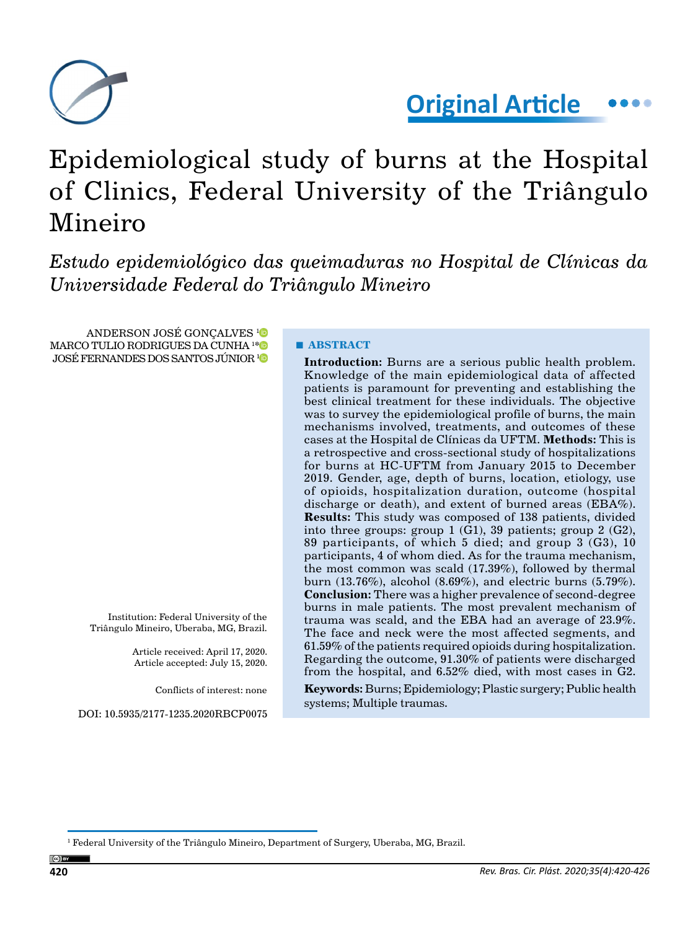

**Original Article**

# Epidemiological study of burns at the Hospital of Clinics, Federal University of the Triângulo Mineiro

*Estudo epidemiológico das queimaduras no Hospital de Clínicas da Universidade Federal do Triângulo Mineiro*

ANDERSON JOSÉ GONÇALVES<sup>[1](https://orcid.org/0000-0002-0170-1859)</sup> MARCO TULIO RODRIGUES DA CUNHA 1 [\\*](https://orcid.org/0000-0002-6597-0724) JOSÉ FERNANDES DOS SANTOS JÚNIOR [1](https://orcid.org/0000-0002-3763-6374)

> Institution: Federal University of the Triângulo Mineiro, Uberaba, MG, Brazil.

> > Article received: April 17, 2020. Article accepted: July 15, 2020.

> > > Conflicts of interest: none

DOI: 10.5935/2177-1235.2020RBCP0075

# **■ ABSTRACT**

**Introduction:** Burns are a serious public health problem. Knowledge of the main epidemiological data of affected patients is paramount for preventing and establishing the best clinical treatment for these individuals. The objective was to survey the epidemiological profile of burns, the main mechanisms involved, treatments, and outcomes of these cases at the Hospital de Clínicas da UFTM. **Methods:** This is a retrospective and cross-sectional study of hospitalizations for burns at HC-UFTM from January 2015 to December 2019. Gender, age, depth of burns, location, etiology, use of opioids, hospitalization duration, outcome (hospital discharge or death), and extent of burned areas ( $EBA\%$ ). **Results:** This study was composed of 138 patients, divided into three groups: group  $1$  (G1), 39 patients; group  $2$  (G2), 89 participants, of which 5 died; and group 3 (G3), 10 participants, 4 of whom died. As for the trauma mechanism, the most common was scald (17.39%), followed by thermal burn (13.76%), alcohol (8.69%), and electric burns (5.79%). **Conclusion:** There was a higher prevalence of second-degree burns in male patients. The most prevalent mechanism of trauma was scald, and the EBA had an average of  $23.9\%.$ The face and neck were the most affected segments, and 61.59% of the patients required opioids during hospitalization. Regarding the outcome, 91.30% of patients were discharged from the hospital, and 6.52% died, with most cases in G2.

**Keywords:** Burns; Epidemiology; Plastic surgery; Public health systems; Multiple traumas.

 $^{\rm 1}$  Federal University of the Triângulo Mineiro, Department of Surgery, Uberaba, MG, Brazil.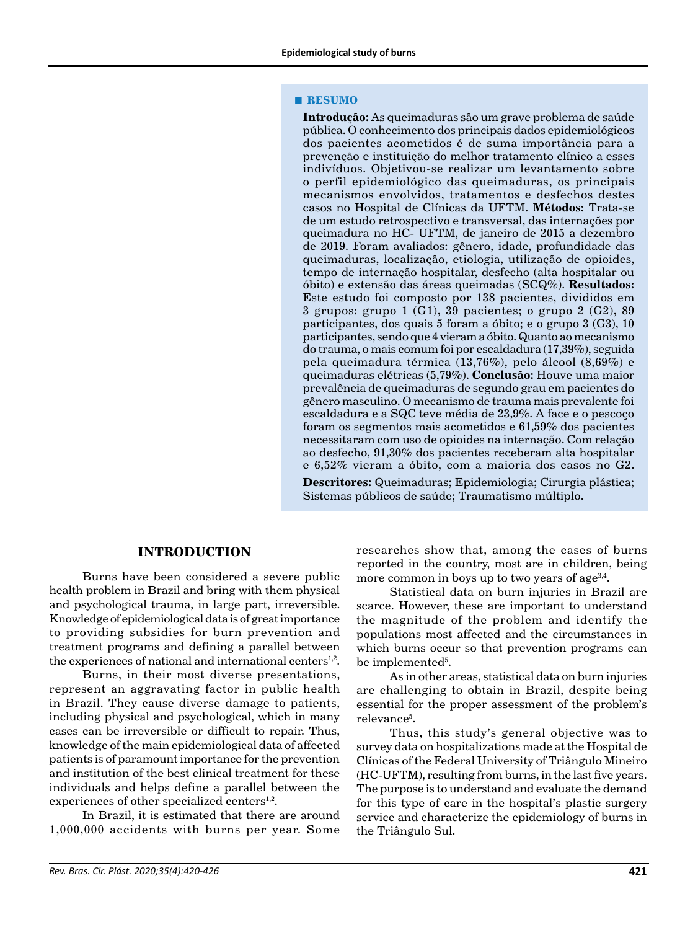#### **■ RESUMO**

**Introdução:** As queimaduras são um grave problema de saúde pública. O conhecimento dos principais dados epidemiológicos dos pacientes acometidos é de suma importância para a prevenção e instituição do melhor tratamento clínico a esses indivíduos. Objetivou-se realizar um levantamento sobre o perfil epidemiológico das queimaduras, os principais mecanismos envolvidos, tratamentos e desfechos destes casos no Hospital de Clínicas da UFTM. **Métodos:** Trata-se de um estudo retrospectivo e transversal, das internações por queimadura no HC- UFTM, de janeiro de 2015 a dezembro de 2019. Foram avaliados: gênero, idade, profundidade das queimaduras, localização, etiologia, utilização de opioides, tempo de internação hospitalar, desfecho (alta hospitalar ou óbito) e extensão das áreas queimadas (SCQ%). **Resultados:**  Este estudo foi composto por 138 pacientes, divididos em 3 grupos: grupo 1 (G1), 39 pacientes; o grupo 2 (G2), 89 participantes, dos quais 5 foram a óbito; e o grupo 3 (G3), 10 participantes, sendo que 4 vieram a óbito. Quanto ao mecanismo do trauma, o mais comum foi por escaldadura (17,39%), seguida pela queimadura térmica (13,76%), pelo álcool (8,69%) e queimaduras elétricas (5,79%). **Conclusão:** Houve uma maior prevalência de queimaduras de segundo grau em pacientes do gênero masculino. O mecanismo de trauma mais prevalente foi escaldadura e a SQC teve média de 23,9%. A face e o pescoço foram os segmentos mais acometidos e 61,59% dos pacientes necessitaram com uso de opioides na internação. Com relação ao desfecho, 91,30% dos pacientes receberam alta hospitalar e 6,52% vieram a óbito, com a maioria dos casos no G2.

**Descritores:** Queimaduras; Epidemiologia; Cirurgia plástica; Sistemas públicos de saúde; Traumatismo múltiplo.

### **INTRODUCTION**

Burns have been considered a severe public health problem in Brazil and bring with them physical and psychological trauma, in large part, irreversible. Knowledge of epidemiological data is of great importance to providing subsidies for burn prevention and treatment programs and defining a parallel between the experiences of national and international centers $1,2$ .

Burns, in their most diverse presentations, represent an aggravating factor in public health in Brazil. They cause diverse damage to patients, including physical and psychological, which in many cases can be irreversible or difficult to repair. Thus, knowledge of the main epidemiological data of affected patients is of paramount importance for the prevention and institution of the best clinical treatment for these individuals and helps define a parallel between the experiences of other specialized centers $1,2$ .

In Brazil, it is estimated that there are around 1,000,000 accidents with burns per year. Some researches show that, among the cases of burns reported in the country, most are in children, being more common in boys up to two years of age $3,4$ .

Statistical data on burn injuries in Brazil are scarce. However, these are important to understand the magnitude of the problem and identify the populations most affected and the circumstances in which burns occur so that prevention programs can be implemented<sup>5</sup>.

As in other areas, statistical data on burn injuries are challenging to obtain in Brazil, despite being essential for the proper assessment of the problem's relevance<sup>5</sup>.

Thus, this study's general objective was to survey data on hospitalizations made at the Hospital de Clínicas of the Federal University of Triângulo Mineiro (HC-UFTM), resulting from burns, in the last five years. The purpose is to understand and evaluate the demand for this type of care in the hospital's plastic surgery service and characterize the epidemiology of burns in the Triângulo Sul.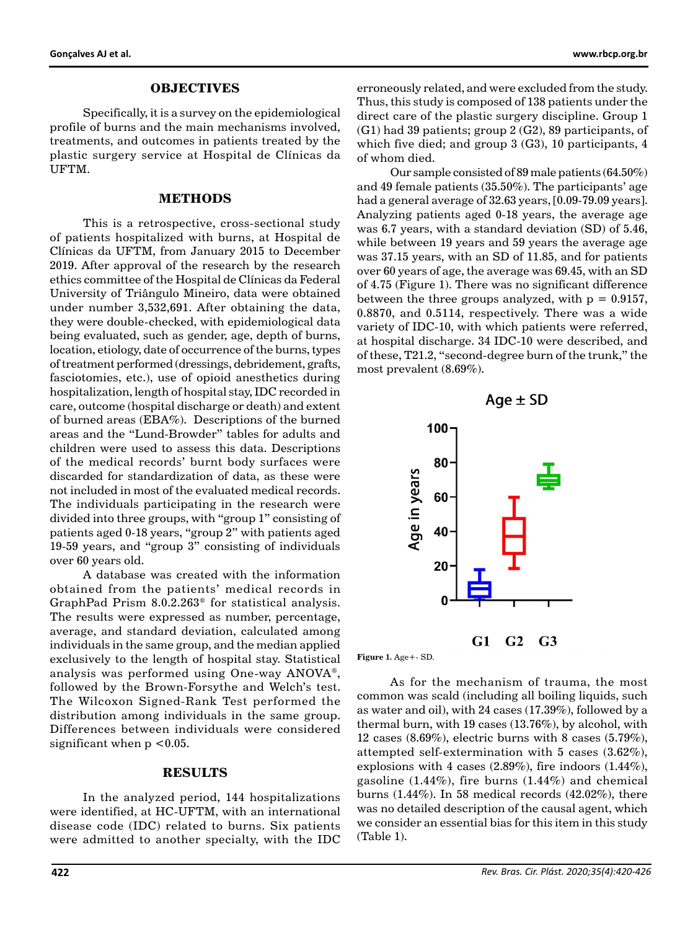#### **OBJECTIVES**

Specifically, it is a survey on the epidemiological profile of burns and the main mechanisms involved, treatments, and outcomes in patients treated by the plastic surgery service at Hospital de Clínicas da UFTM.

## **METHODS**

This is a retrospective, cross-sectional study of patients hospitalized with burns, at Hospital de Clínicas da UFTM, from January 2015 to December 2019. After approval of the research by the research ethics committee of the Hospital de Clínicas da Federal University of Triângulo Mineiro, data were obtained under number 3,532,691. After obtaining the data, they were double-checked, with epidemiological data being evaluated, such as gender, age, depth of burns, location, etiology, date of occurrence of the burns, types of treatment performed (dressings, debridement, grafts, fasciotomies, etc.), use of opioid anesthetics during hospitalization, length of hospital stay, IDC recorded in care, outcome (hospital discharge or death) and extent of burned areas (EBA%). Descriptions of the burned areas and the "Lund-Browder" tables for adults and children were used to assess this data. Descriptions of the medical records' burnt body surfaces were discarded for standardization of data, as these were not included in most of the evaluated medical records. The individuals participating in the research were divided into three groups, with "group 1" consisting of patients aged 0-18 years, "group 2" with patients aged 19-59 years, and "group 3" consisting of individuals over 60 years old.

A database was created with the information obtained from the patients' medical records in GraphPad Prism 8.0.2.263® for statistical analysis. The results were expressed as number, percentage, average, and standard deviation, calculated among individuals in the same group, and the median applied exclusively to the length of hospital stay. Statistical analysis was performed using One-way ANOVA®, followed by the Brown-Forsythe and Welch's test. The Wilcoxon Signed-Rank Test performed the distribution among individuals in the same group. Differences between individuals were considered significant when  $p < 0.05$ .

#### **RESULTS**

In the analyzed period, 144 hospitalizations were identified, at HC-UFTM, with an international disease code (IDC) related to burns. Six patients were admitted to another specialty, with the IDC erroneously related, and were excluded from the study. Thus, this study is composed of 138 patients under the direct care of the plastic surgery discipline. Group 1 (G1) had 39 patients; group 2 (G2), 89 participants, of which five died; and group 3 (G3), 10 participants, 4 of whom died.

Our sample consisted of 89 male patients (64.50%) and 49 female patients (35.50%). The participants' age had a general average of 32.63 years, [0.09-79.09 years]. Analyzing patients aged 0-18 years, the average age was 6.7 years, with a standard deviation (SD) of 5.46, while between 19 years and 59 years the average age was 37.15 years, with an SD of 11.85, and for patients over 60 years of age, the average was 69.45, with an SD of 4.75 (Figure 1). There was no significant difference between the three groups analyzed, with  $p = 0.9157$ , 0.8870, and 0.5114, respectively. There was a wide variety of IDC-10, with which patients were referred, at hospital discharge. 34 IDC-10 were described, and of these, T21.2, "second-degree burn of the trunk," the most prevalent (8.69%).



**Figure 1.** Age+- SD.

As for the mechanism of trauma, the most common was scald (including all boiling liquids, such as water and oil), with 24 cases (17.39%), followed by a thermal burn, with 19 cases (13.76%), by alcohol, with 12 cases (8.69%), electric burns with 8 cases (5.79%), attempted self-extermination with 5 cases (3.62%), explosions with 4 cases (2.89%), fire indoors (1.44%), gasoline (1.44%), fire burns (1.44%) and chemical burns (1.44%). In 58 medical records (42.02%), there was no detailed description of the causal agent, which we consider an essential bias for this item in this study (Table 1).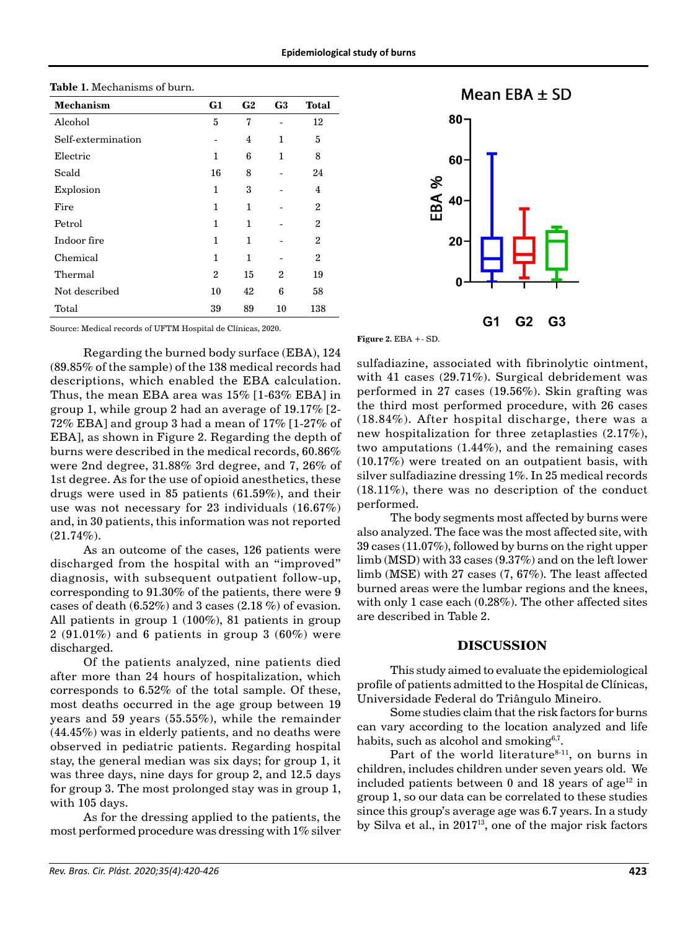| <b>Mechanism</b>   | G1             | G <sub>2</sub> | G <sub>3</sub> | <b>Total</b>   |
|--------------------|----------------|----------------|----------------|----------------|
| Alcohol            | 5              | 7              |                | 12             |
| Self-extermination |                | $\overline{4}$ | 1              | 5              |
| Electric           | $\mathbf{1}$   | 6              | 1              | 8              |
| Scald              | 16             | 8              |                | 24             |
| Explosion          | 1              | 3              |                | 4              |
| Fire               | 1              | 1              |                | $\overline{c}$ |
| Petrol             | 1              | 1              |                | $\overline{2}$ |
| Indoor fire        | 1              | 1              |                | $\overline{2}$ |
| Chemical           | 1              | 1              |                | $\overline{c}$ |
| Thermal            | $\overline{c}$ | 15             | 2              | 19             |
| Not described      | 10             | 42             | 6              | 58             |
| Total              | 39             | 89             | 10             | 138            |

Source: Medical records of UFTM Hospital de Clínicas, 2020.

Regarding the burned body surface (EBA), 124 (89.85% of the sample) of the 138 medical records had descriptions, which enabled the EBA calculation. Thus, the mean EBA area was 15% [1-63% EBA] in group 1, while group 2 had an average of 19.17% [2- 72% EBA] and group 3 had a mean of 17% [1-27% of EBA], as shown in Figure 2. Regarding the depth of burns were described in the medical records, 60.86% were 2nd degree, 31.88% 3rd degree, and 7, 26% of 1st degree. As for the use of opioid anesthetics, these drugs were used in 85 patients (61.59%), and their use was not necessary for 23 individuals (16.67%) and, in 30 patients, this information was not reported  $(21.74\%).$ 

As an outcome of the cases, 126 patients were discharged from the hospital with an "improved" diagnosis, with subsequent outpatient follow-up, corresponding to 91.30% of the patients, there were 9 cases of death (6.52%) and 3 cases (2.18 %) of evasion. All patients in group 1 (100%), 81 patients in group 2 (91.01%) and 6 patients in group 3 (60%) were discharged.

Of the patients analyzed, nine patients died after more than 24 hours of hospitalization, which corresponds to 6.52% of the total sample. Of these, most deaths occurred in the age group between 19 years and 59 years (55.55%), while the remainder (44.45%) was in elderly patients, and no deaths were observed in pediatric patients. Regarding hospital stay, the general median was six days; for group 1, it was three days, nine days for group 2, and 12.5 days for group 3. The most prolonged stay was in group 1, with 105 days.

As for the dressing applied to the patients, the most performed procedure was dressing with 1% silver



**Figure 2.** EBA +- SD.

sulfadiazine, associated with fibrinolytic ointment, with 41 cases (29.71%). Surgical debridement was performed in 27 cases (19.56%). Skin grafting was the third most performed procedure, with 26 cases (18.84%). After hospital discharge, there was a new hospitalization for three zetaplasties (2.17%), two amputations (1.44%), and the remaining cases (10.17%) were treated on an outpatient basis, with silver sulfadiazine dressing 1%. In 25 medical records (18.11%), there was no description of the conduct performed.

The body segments most affected by burns were also analyzed. The face was the most affected site, with 39 cases (11.07%), followed by burns on the right upper limb (MSD) with 33 cases (9.37%) and on the left lower limb (MSE) with 27 cases (7, 67%). The least affected burned areas were the lumbar regions and the knees, with only 1 case each (0.28%). The other affected sites are described in Table 2.

# **DISCUSSION**

This study aimed to evaluate the epidemiological profile of patients admitted to the Hospital de Clínicas, Universidade Federal do Triângulo Mineiro.

Some studies claim that the risk factors for burns can vary according to the location analyzed and life habits, such as alcohol and smoking $6,7$ .

Part of the world literature $8-11$ , on burns in children, includes children under seven years old. We included patients between  $0$  and 18 years of age<sup>12</sup> in group 1, so our data can be correlated to these studies since this group's average age was 6.7 years. In a study by Silva et al., in 2017<sup>13</sup>, one of the major risk factors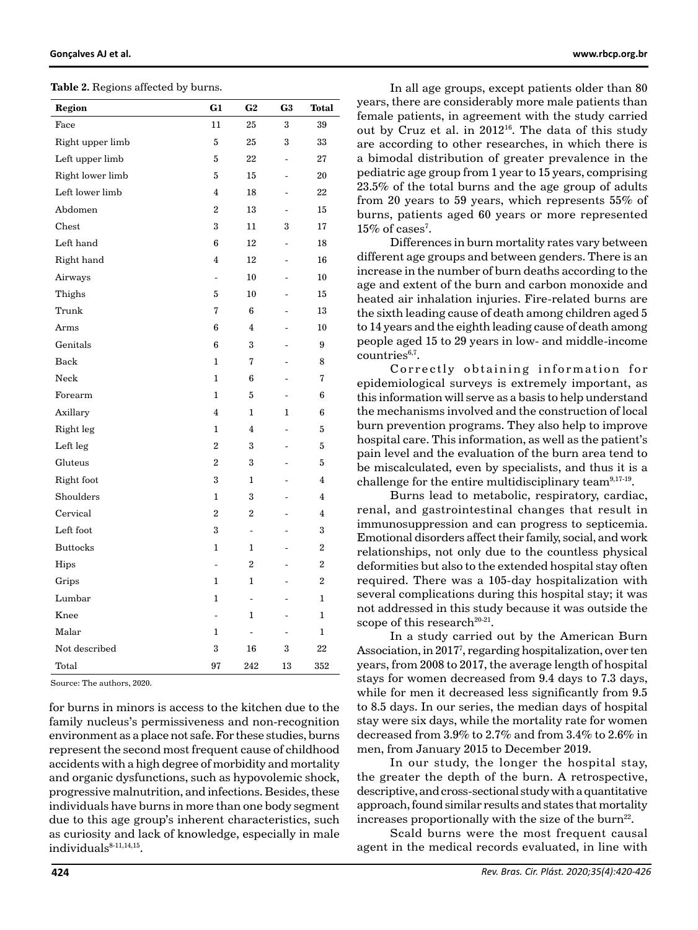**Table 2.** Regions affected by burns.

| Region           | G1                       | G <sub>2</sub>           | G <sub>3</sub>               | Total            |
|------------------|--------------------------|--------------------------|------------------------------|------------------|
| Face             | 11                       | 25                       | 3                            | 39               |
| Right upper limb | 5                        | 25                       | 3                            | 33               |
| Left upper limb  | 5                        | 22                       | $\qquad \qquad \blacksquare$ | 27               |
| Right lower limb | 5                        | 15                       | $\overline{a}$               | 20               |
| Left lower limb  | $\overline{4}$           | 18                       | $\frac{1}{2}$                | 22               |
| Abdomen          | $\overline{2}$           | 13                       | $\overline{a}$               | 15               |
| Chest            | 3                        | 11                       | 3                            | 17               |
| Left hand        | 6                        | 12                       | $\overline{a}$               | 18               |
| Right hand       | 4                        | 12                       |                              | 16               |
| Airways          | $\overline{\phantom{0}}$ | 10                       |                              | 10               |
| Thighs           | 5                        | 10                       |                              | 15               |
| Trunk            | $\overline{7}$           | 6                        |                              | 13               |
| Arms             | 6                        | $\overline{4}$           |                              | 10               |
| Genitals         | 6                        | 3                        |                              | 9                |
| Back             | 1                        | 7                        | $\overline{a}$               | 8                |
| Neck             | $\mathbf{1}$             | 6                        |                              | 7                |
| Forearm          | $\mathbf{1}$             | 5                        |                              | 6                |
| Axillary         | $\overline{4}$           | $\mathbf{1}$             | $\mathbf{1}$                 | 6                |
| Right leg        | $\mathbf{1}$             | $\overline{\mathbf{4}}$  |                              | $\mathbf 5$      |
| Left leg         | $\overline{\mathbf{2}}$  | 3                        |                              | $\mathbf 5$      |
| Gluteus          | $\overline{c}$           | 3                        |                              | 5                |
| Right foot       | 3                        | 1                        |                              | $\overline{4}$   |
| Shoulders        | $\mathbf{1}$             | 3                        |                              | 4                |
| Cervical         | $\overline{\mathbf{2}}$  | $\overline{2}$           |                              | 4                |
| Left foot        | 3                        | $\overline{a}$           |                              | 3                |
| <b>Buttocks</b>  | $\mathbf{1}$             | $\mathbf{1}$             |                              | $\overline{2}$   |
| Hips             | $\overline{a}$           | 2                        |                              | $\boldsymbol{2}$ |
| Grips            | 1                        | $\mathbf{1}$             |                              | $\boldsymbol{2}$ |
| Lumbar           | $\mathbf{1}$             | $\overline{\phantom{0}}$ |                              | $\mathbf{1}$     |
| Knee             | $\overline{a}$           | $\mathbf{1}$             |                              | $\mathbf{1}$     |
| Malar            | $\mathbf{1}$             | $\overline{\phantom{0}}$ |                              | $\mathbf{1}$     |
| Not described    | 3                        | 16                       | 3                            | 22               |
| Total            | 97                       | 242                      | 13                           | 352              |

Source: The authors, 2020.

for burns in minors is access to the kitchen due to the family nucleus's permissiveness and non-recognition environment as a place not safe. For these studies, burns represent the second most frequent cause of childhood accidents with a high degree of morbidity and mortality and organic dysfunctions, such as hypovolemic shock, progressive malnutrition, and infections. Besides, these individuals have burns in more than one body segment due to this age group's inherent characteristics, such as curiosity and lack of knowledge, especially in male individuals<sup>8-11,14,15</sup>.

In all age groups, except patients older than 80 years, there are considerably more male patients than female patients, in agreement with the study carried out by Cruz et al. in 2012<sup>16</sup>. The data of this study are according to other researches, in which there is a bimodal distribution of greater prevalence in the pediatric age group from 1 year to 15 years, comprising 23.5% of the total burns and the age group of adults from 20 years to 59 years, which represents 55% of burns, patients aged 60 years or more represented  $15\%$  of cases<sup>7</sup>.

Differences in burn mortality rates vary between different age groups and between genders. There is an increase in the number of burn deaths according to the age and extent of the burn and carbon monoxide and heated air inhalation injuries. Fire-related burns are the sixth leading cause of death among children aged 5 to 14 years and the eighth leading cause of death among people aged 15 to 29 years in low- and middle-income  $countries<sup>6,7</sup>$ .

Correctly obtaining information for epidemiological surveys is extremely important, as this information will serve as a basis to help understand the mechanisms involved and the construction of local burn prevention programs. They also help to improve hospital care. This information, as well as the patient's pain level and the evaluation of the burn area tend to be miscalculated, even by specialists, and thus it is a challenge for the entire multidisciplinary team<sup>9,17-19</sup>.

Burns lead to metabolic, respiratory, cardiac, renal, and gastrointestinal changes that result in immunosuppression and can progress to septicemia. Emotional disorders affect their family, social, and work relationships, not only due to the countless physical deformities but also to the extended hospital stay often required. There was a 105-day hospitalization with several complications during this hospital stay; it was not addressed in this study because it was outside the scope of this research<sup>20-21</sup>.

In a study carried out by the American Burn Association, in 20177 , regarding hospitalization, over ten years, from 2008 to 2017, the average length of hospital stays for women decreased from 9.4 days to 7.3 days, while for men it decreased less significantly from 9.5 to 8.5 days. In our series, the median days of hospital stay were six days, while the mortality rate for women decreased from 3.9% to 2.7% and from 3.4% to 2.6% in men, from January 2015 to December 2019.

In our study, the longer the hospital stay, the greater the depth of the burn. A retrospective, descriptive, and cross-sectional study with a quantitative approach, found similar results and states that mortality increases proportionally with the size of the burn<sup>22</sup>.

Scald burns were the most frequent causal agent in the medical records evaluated, in line with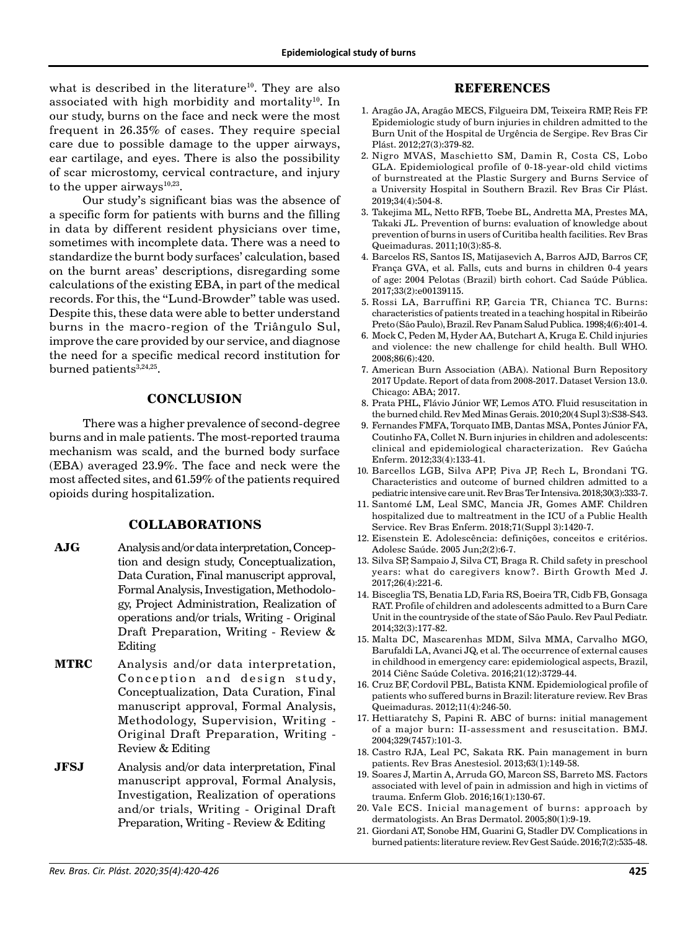what is described in the literature<sup>10</sup>. They are also associated with high morbidity and mortality<sup>10</sup>. In our study, burns on the face and neck were the most frequent in 26.35% of cases. They require special care due to possible damage to the upper airways, ear cartilage, and eyes. There is also the possibility of scar microstomy, cervical contracture, and injury to the upper airways $10,23$ .

Our study's significant bias was the absence of a specific form for patients with burns and the filling in data by different resident physicians over time, sometimes with incomplete data. There was a need to standardize the burnt body surfaces' calculation, based on the burnt areas' descriptions, disregarding some calculations of the existing EBA, in part of the medical records. For this, the "Lund-Browder" table was used. Despite this, these data were able to better understand burns in the macro-region of the Triângulo Sul, improve the care provided by our service, and diagnose the need for a specific medical record institution for burned patients<sup>3,24,25</sup>.

# **CONCLUSION**

There was a higher prevalence of second-degree burns and in male patients. The most-reported trauma mechanism was scald, and the burned body surface (EBA) averaged 23.9%. The face and neck were the most affected sites, and 61.59% of the patients required opioids during hospitalization.

# **COLLABORATIONS**

- **AJG** Analysis and/or data interpretation, Conception and design study, Conceptualization, Data Curation, Final manuscript approval, Formal Analysis, Investigation, Methodology, Project Administration, Realization of operations and/or trials, Writing - Original Draft Preparation, Writing - Review & Editing
- **MTRC** Analysis and/or data interpretation, Conception and design study, Conceptualization, Data Curation, Final manuscript approval, Formal Analysis, Methodology, Supervision, Writing - Original Draft Preparation, Writing - Review & Editing
- **JFSJ** Analysis and/or data interpretation, Final manuscript approval, Formal Analysis, Investigation, Realization of operations and/or trials, Writing - Original Draft Preparation, Writing - Review & Editing

#### **REFERENCES**

- 1. Aragão JA, Aragão MECS, Filgueira DM, Teixeira RMP, Reis FP. Epidemiologic study of burn injuries in children admitted to the Burn Unit of the Hospital de Urgência de Sergipe. Rev Bras Cir Plást. 2012;27(3):379-82.
- 2. Nigro MVAS, Maschietto SM, Damin R, Costa CS, Lobo GLA. Epidemiological profile of 0-18-year-old child victims of burnstreated at the Plastic Surgery and Burns Service of a University Hospital in Southern Brazil. Rev Bras Cir Plást. 2019;34(4):504-8.
- 3. Takejima ML, Netto RFB, Toebe BL, Andretta MA, Prestes MA, Takaki JL. Prevention of burns: evaluation of knowledge about prevention of burns in users of Curitiba health facilities. Rev Bras Queimaduras. 2011;10(3):85-8.
- 4. Barcelos RS, Santos IS, Matijasevich A, Barros AJD, Barros CF, França GVA, et al. Falls, cuts and burns in children 0-4 years of age: 2004 Pelotas (Brazil) birth cohort. Cad Saúde Pública. 2017;33(2):e00139115.
- 5. Rossi LA, Barruffini RP, Garcia TR, Chianca TC. Burns: characteristics of patients treated in a teaching hospital in Ribeirão Preto (São Paulo), Brazil. Rev Panam Salud Publica. 1998;4(6):401-4.
- 6. Mock C, Peden M, Hyder AA, Butchart A, Kruga E. Child injuries and violence: the new challenge for child health. Bull WHO. 2008;86(6):420.
- 7. American Burn Association (ABA). National Burn Repository 2017 Update. Report of data from 2008-2017. Dataset Version 13.0. Chicago: ABA; 2017.
- 8. Prata PHL, Flávio Júnior WF, Lemos ATO. Fluid resuscitation in the burned child. Rev Med Minas Gerais. 2010;20(4 Supl 3):S38-S43.
- 9. Fernandes FMFA, Torquato IMB, Dantas MSA, Pontes Júnior FA, Coutinho FA, Collet N. Burn injuries in children and adolescents: clinical and epidemiological characterization. Rev Gaúcha Enferm. 2012;33(4):133-41.
- 10. Barcellos LGB, Silva APP, Piva JP, Rech L, Brondani TG. Characteristics and outcome of burned children admitted to a pediatric intensive care unit. Rev Bras Ter Intensiva. 2018;30(3):333-7.
- 11. Santomé LM, Leal SMC, Mancia JR, Gomes AMF. Children hospitalized due to maltreatment in the ICU of a Public Health Service. Rev Bras Enferm. 2018;71(Suppl 3):1420-7.
- 12. Eisenstein E. Adolescência: definições, conceitos e critérios. Adolesc Saúde. 2005 Jun;2(2):6-7.
- 13. Silva SP, Sampaio J, Silva CT, Braga R. Child safety in preschool years: what do caregivers know?. Birth Growth Med J. 2017;26(4):221-6.
- 14. Bisceglia TS, Benatia LD, Faria RS, Boeira TR, Cidb FB, Gonsaga RAT. Profile of children and adolescents admitted to a Burn Care Unit in the countryside of the state of São Paulo. Rev Paul Pediatr. 2014;32(3):177-82.
- 15. Malta DC, Mascarenhas MDM, Silva MMA, Carvalho MGO, Barufaldi LA, Avanci JQ, et al. The occurrence of external causes in childhood in emergency care: epidemiological aspects, Brazil, 2014 Ciênc Saúde Coletiva. 2016;21(12):3729-44.
- 16. Cruz BF, Cordovil PBL, Batista KNM. Epidemiological profile of patients who suffered burns in Brazil: literature review. Rev Bras Queimaduras. 2012;11(4):246-50.
- 17. Hettiaratchy S, Papini R. ABC of burns: initial management of a major burn: II-assessment and resuscitation. BMJ. 2004;329(7457):101-3.
- 18. Castro RJA, Leal PC, Sakata RK. Pain management in burn patients. Rev Bras Anestesiol. 2013;63(1):149-58.
- 19. Soares J, Martin A, Arruda GO, Marcon SS, Barreto MS. Factors associated with level of pain in admission and high in victims of trauma. Enferm Glob. 2016;16(1):130-67.
- 20. Vale ECS. Inicial management of burns: approach by dermatologists. An Bras Dermatol. 2005;80(1):9-19.
- 21. Giordani AT, Sonobe HM, Guarini G, Stadler DV. Complications in burned patients: literature review. Rev Gest Saúde. 2016;7(2):535-48.